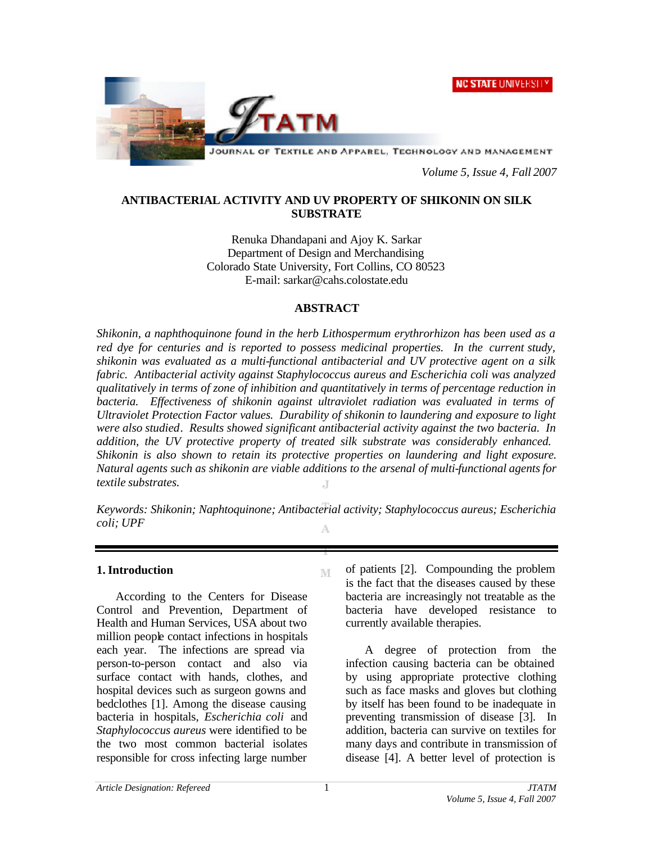**NC STATE UNIVERSITY** 



JOURNAL OF TEXTILE AND APPAREL, TECHNOLOGY AND MANAGEMENT

*Volume 5, Issue 4, Fall 2007*

# **ANTIBACTERIAL ACTIVITY AND UV PROPERTY OF SHIKONIN ON SILK SUBSTRATE**

Renuka Dhandapani and Ajoy K. Sarkar Department of Design and Merchandising Colorado State University, Fort Collins, CO 80523 E-mail: sarkar@cahs.colostate.edu

# **ABSTRACT**

*Shikonin, a naphthoquinone found in the herb Lithospermum erythrorhizon has been used as a red dye for centuries and is reported to possess medicinal properties. In the current study, shikonin was evaluated as a multi-functional antibacterial and UV protective agent on a silk fabric. Antibacterial activity against Staphylococcus aureus and Escherichia coli was analyzed qualitatively in terms of zone of inhibition and quantitatively in terms of percentage reduction in*  bacteria. Effectiveness of shikonin against ultraviolet radiation was evaluated in terms of *Ultraviolet Protection Factor values. Durability of shikonin to laundering and exposure to light were also studied. Results showed significant antibacterial activity against the two bacteria. In addition, the UV protective property of treated silk substrate was considerably enhanced. Shikonin is also shown to retain its protective properties on laundering and light exposure. Natural agents such as shikonin are viable additions to the arsenal of multi-functional agents for textile substrates.*

*Keywords: Shikonin; Naphtoquinone; Antibacterial activity; Staphylococcus aureus; Escherichia coli; UPF*  А

# **1. Introduction**

According to the Centers for Disease Control and Prevention, Department of Health and Human Services, USA about two million people contact infections in hospitals each year. The infections are spread via person-to-person contact and also via surface contact with hands, clothes, and hospital devices such as surgeon gowns and bedclothes [1]. Among the disease causing bacteria in hospitals, *Escherichia coli* and *Staphylococcus aureus* were identified to be the two most common bacterial isolates responsible for cross infecting large number

of patients [2]. Compounding the problem M is the fact that the diseases caused by these bacteria are increasingly not treatable as the bacteria have developed resistance to currently available therapies.

> A degree of protection from the infection causing bacteria can be obtained by using appropriate protective clothing such as face masks and gloves but clothing by itself has been found to be inadequate in preventing transmission of disease [3]. In addition, bacteria can survive on textiles for many days and contribute in transmission of disease [4]. A better level of protection is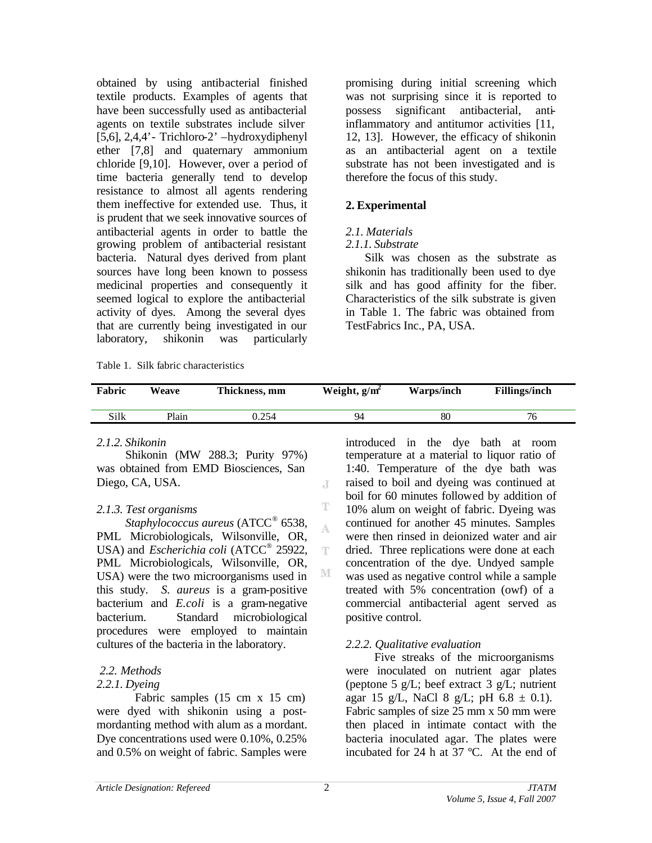obtained by using antibacterial finished textile products. Examples of agents that have been successfully used as antibacterial agents on textile substrates include silver [5,6],  $2,4,4'$  - Trichloro-2' –hydroxydiphenyl ether [7,8] and quaternary ammonium chloride [9,10]. However, over a period of time bacteria generally tend to develop resistance to almost all agents rendering them ineffective for extended use. Thus, it is prudent that we seek innovative sources of antibacterial agents in order to battle the growing problem of antibacterial resistant bacteria. Natural dyes derived from plant sources have long been known to possess medicinal properties and consequently it seemed logical to explore the antibacterial activity of dyes. Among the several dyes that are currently being investigated in our laboratory, shikonin was particularly

Table 1. Silk fabric characteristics

promising during initial screening which was not surprising since it is reported to possess significant antibacterial, antiinflammatory and antitumor activities [11, 12, 13]. However, the efficacy of shikonin as an antibacterial agent on a textile substrate has not been investigated and is therefore the focus of this study.

### **2. Experimental**

### *2.1. Materials*

### *2.1.1. Substrate*

Silk was chosen as the substrate as shikonin has traditionally been used to dye silk and has good affinity for the fiber. Characteristics of the silk substrate is given in Table 1. The fabric was obtained from TestFabrics Inc., PA, USA.

| Fabric | Weave | Thickness, mm | Weight, $g/m^2$ | Warps/inch | <b>Fillings/inch</b> |
|--------|-------|---------------|-----------------|------------|----------------------|
| Silk   | Plain | 0.254         | 94              | 80         | 76                   |

 $\overline{A}$ 

T A

T

M

### *2.1.2. Shikonin*

Shikonin (MW 288.3; Purity 97%) was obtained from EMD Biosciences, San Diego, CA, USA.

### *2.1.3. Test organisms*

*Staphylococcus aureus* (ATCC® 6538, PML Microbiologicals, Wilsonville, OR, USA) and *Escherichia coli* (ATCC<sup>®</sup> 25922, PML Microbiologicals, Wilsonville, OR, USA) were the two microorganisms used in this study. *S. aureus* is a gram-positive bacterium and *E.coli* is a gram-negative bacterium. Standard microbiological procedures were employed to maintain cultures of the bacteria in the laboratory.

# *2.2. Methods*

# *2.2.1. Dyeing*

Fabric samples (15 cm x 15 cm) were dyed with shikonin using a postmordanting method with alum as a mordant. Dye concentrations used were 0.10%, 0.25% and 0.5% on weight of fabric. Samples were

introduced in the dye bath at room temperature at a material to liquor ratio of 1:40. Temperature of the dye bath was raised to boil and dyeing was continued at boil for 60 minutes followed by addition of 10% alum on weight of fabric. Dyeing was continued for another 45 minutes. Samples were then rinsed in deionized water and air dried. Three replications were done at each concentration of the dye. Undyed sample was used as negative control while a sample treated with 5% concentration (owf) of a commercial antibacterial agent served as positive control.

# *2.2.2. Qualitative evaluation*

Five streaks of the microorganisms were inoculated on nutrient agar plates (peptone 5 g/L; beef extract 3 g/L; nutrient agar 15 g/L, NaCl 8 g/L; pH  $6.8 \pm 0.1$ ). Fabric samples of size 25 mm x 50 mm were then placed in intimate contact with the bacteria inoculated agar. The plates were incubated for 24 h at 37 ºC. At the end of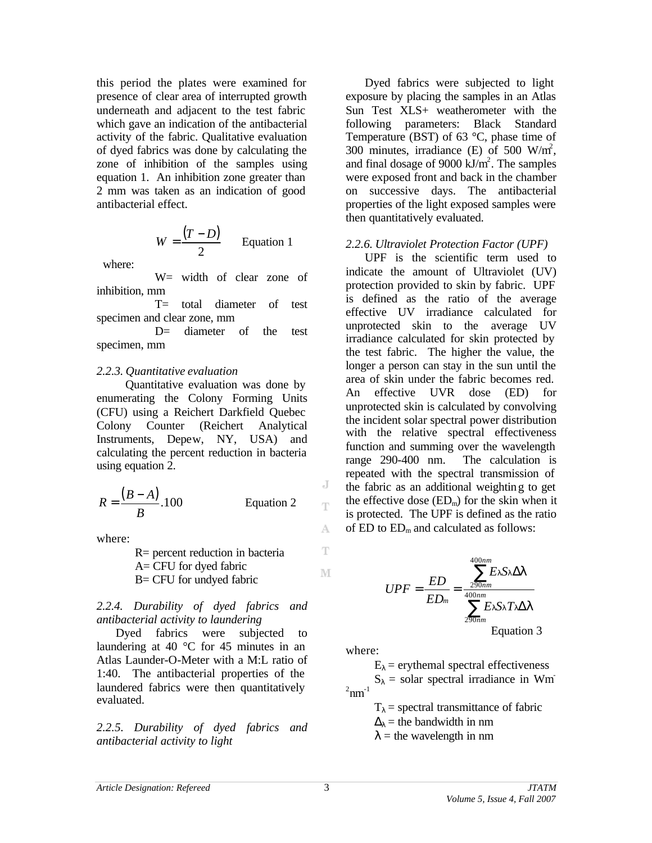this period the plates were examined for presence of clear area of interrupted growth underneath and adjacent to the test fabric which gave an indication of the antibacterial activity of the fabric. Qualitative evaluation of dyed fabrics was done by calculating the zone of inhibition of the samples using equation 1. An inhibition zone greater than 2 mm was taken as an indication of good antibacterial effect.

$$
W = \frac{(T - D)}{2}
$$
 Equation 1

where:

W= width of clear zone of inhibition, mm

T= total diameter of test specimen and clear zone, mm

D= diameter of the test specimen, mm

#### *2.2.3. Quantitative evaluation*

Quantitative evaluation was done by enumerating the Colony Forming Units (CFU) using a Reichert Darkfield Quebec Colony Counter (Reichert Analytical Instruments, Depew, NY, USA) and calculating the percent reduction in bacteria using equation 2.

$$
R = \frac{(B - A)}{B} \cdot 100
$$
 Equation 2

where:

R= percent reduction in bacteria A= CFU for dyed fabric B= CFU for undyed fabric

### *2.2.4. Durability of dyed fabrics and antibacterial activity to laundering*

Dyed fabrics were subjected to laundering at 40 °C for 45 minutes in an Atlas Launder-O-Meter with a M:L ratio of 1:40. The antibacterial properties of the laundered fabrics were then quantitatively evaluated.

*2.2.5. Durability of dyed fabrics and antibacterial activity to light*

Dyed fabrics were subjected to light exposure by placing the samples in an Atlas Sun Test XLS+ weatherometer with the following parameters: Black Standard Temperature (BST) of 63 °C, phase time of 300 minutes, irradiance (E) of 500 W/m<sup>2</sup>, and final dosage of  $9000 \text{ kJ/m}^2$ . The samples were exposed front and back in the chamber on successive days. The antibacterial properties of the light exposed samples were then quantitatively evaluated.

### *2.2.6. Ultraviolet Protection Factor (UPF)*

UPF is the scientific term used to indicate the amount of Ultraviolet (UV) protection provided to skin by fabric. UPF is defined as the ratio of the average effective UV irradiance calculated for unprotected skin to the average UV irradiance calculated for skin protected by the test fabric. The higher the value, the longer a person can stay in the sun until the area of skin under the fabric becomes red. An effective UVR dose (ED) for unprotected skin is calculated by convolving the incident solar spectral power distribution with the relative spectral effectiveness function and summing over the wavelength range 290-400 nm. The calculation is repeated with the spectral transmission of the fabric as an additional weighting to get the effective dose  $(ED_m)$  for the skin when it is protected. The UPF is defined as the ratio of  $ED$  to  $ED<sub>m</sub>$  and calculated as follows:

$$
UPF = \frac{ED}{ED_m} = \frac{\sum_{290nm}^{400nm} E1S1\Delta I}{\sum_{290nm}^{400nm} E1S1T1\Delta I}
$$
  
Equation 3

where:

 $E_{\lambda}$  = erythemal spectral effectiveness  $S_{\lambda}$  = solar spectral irradiance in Wm  $2$ <sub>nm</sub> $^{-1}$ 

 $T_{\lambda}$  = spectral transmittance of fabric

 $\Delta_{\lambda}$  = the bandwidth in nm

 $\lambda$  = the wavelength in nm

J Ŧ

A

T

M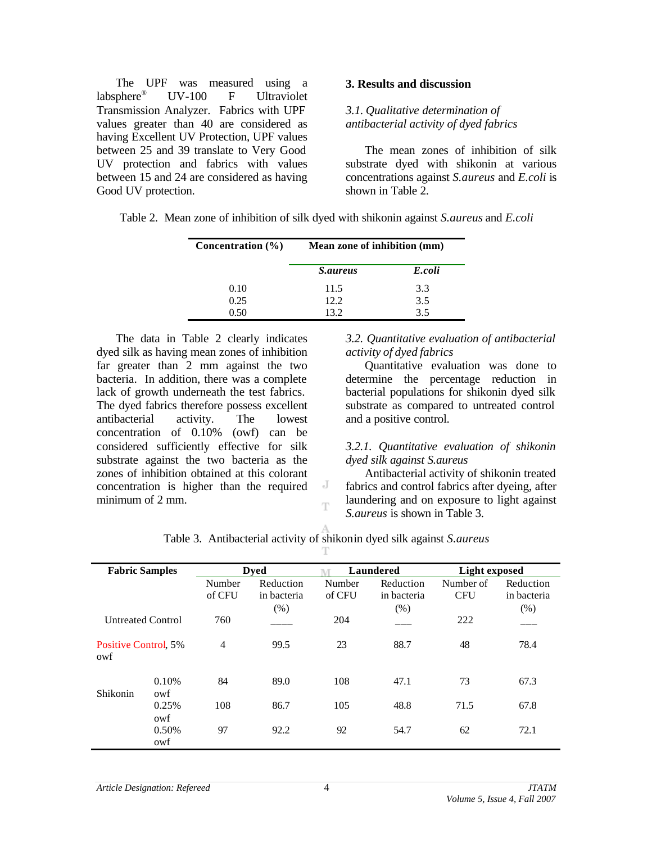The UPF was measured using a labsphere® UV-100 F Ultraviolet Transmission Analyzer. Fabrics with UPF values greater than 40 are considered as having Excellent UV Protection, UPF values between 25 and 39 translate to Very Good UV protection and fabrics with values between 15 and 24 are considered as having Good UV protection.

#### **3. Results and discussion**

### *3.1. Qualitative determination of antibacterial activity of dyed fabrics*

The mean zones of inhibition of silk substrate dyed with shikonin at various concentrations against *S.aureus* and *E.coli* is shown in Table 2.

| Concentration (%) | Mean zone of inhibition (mm) |        |  |  |
|-------------------|------------------------------|--------|--|--|
|                   | <i>S.aureus</i>              | E.coli |  |  |
| 0.10              | 11.5                         | 3.3    |  |  |
| 0.25              | 12.2.                        | 3.5    |  |  |
| 0 50              | 132                          | 35     |  |  |

Table 2. Mean zone of inhibition of silk dyed with shikonin against *S.aureus* and *E.coli*

The data in Table 2 clearly indicates dyed silk as having mean zones of inhibition far greater than 2 mm against the two bacteria. In addition, there was a complete lack of growth underneath the test fabrics. The dyed fabrics therefore possess excellent antibacterial activity. The lowest concentration of 0.10% (owf) can be considered sufficiently effective for silk substrate against the two bacteria as the zones of inhibition obtained at this colorant concentration is higher than the required minimum of 2 mm.

*3.2. Quantitative evaluation of antibacterial activity of dyed fabrics*

Quantitative evaluation was done to determine the percentage reduction in bacterial populations for shikonin dyed silk substrate as compared to untreated control and a positive control.

#### *3.2.1. Quantitative evaluation of shikonin dyed silk against S.aureus*

Antibacterial activity of shikonin treated fabrics and control fabrics after dyeing, after laundering and on exposure to light against *S.aureus* is shown in Table 3.

| <b>Fabric Samples</b>              |              | <b>Dyed</b>    |             | <b>Laundered</b> |             | <b>Light exposed</b> |             |
|------------------------------------|--------------|----------------|-------------|------------------|-------------|----------------------|-------------|
|                                    |              | Number         | Reduction   | Number           | Reduction   | Number of            | Reduction   |
|                                    |              | of CFU         | in bacteria | of CFU           | in bacteria | <b>CFU</b>           | in bacteria |
|                                    |              |                | (% )        |                  | $(\%)$      |                      | (% )        |
| <b>Untreated Control</b>           |              | 760            |             | 204              |             | 222                  |             |
| <b>Positive Control, 5%</b><br>owf |              | $\overline{4}$ | 99.5        | 23               | 88.7        | 48                   | 78.4        |
| Shikonin                           | 0.10%<br>owf | 84             | 89.0        | 108              | 47.1        | 73                   | 67.3        |
|                                    | 0.25%<br>owf | 108            | 86.7        | 105              | 48.8        | 71.5                 | 67.8        |
|                                    | 0.50%<br>owf | 97             | 92.2        | 92               | 54.7        | 62                   | 72.1        |

Table 3. Antibacterial activity of shikonin dyed silk against *S.aureus*

J T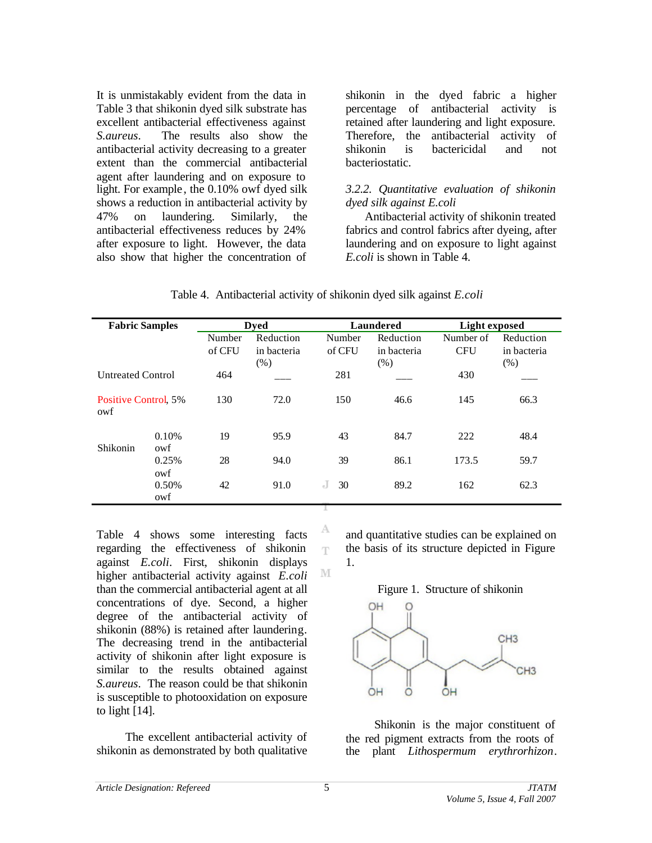It is unmistakably evident from the data in Table 3 that shikonin dyed silk substrate has excellent antibacterial effectiveness against *S.aureus*. The results also show the antibacterial activity decreasing to a greater extent than the commercial antibacterial agent after laundering and on exposure to light. For example , the 0.10% owf dyed silk shows a reduction in antibacterial activity by 47% on laundering. Similarly, the antibacterial effectiveness reduces by 24% after exposure to light. However, the data also show that higher the concentration of

shikonin in the dyed fabric a higher percentage of antibacterial activity is retained after laundering and light exposure. Therefore, the antibacterial activity of shikonin is bactericidal and not bacteriostatic.

### *3.2.2. Quantitative evaluation of shikonin dyed silk against E.coli*

Antibacterial activity of shikonin treated fabrics and control fabrics after dyeing, after laundering and on exposure to light against *E.coli* is shown in Table 4.

| <b>Fabric Samples</b>              |              | <b>Dyed</b> |                     |         | <b>Laundered</b>    |            | <b>Light exposed</b> |  |
|------------------------------------|--------------|-------------|---------------------|---------|---------------------|------------|----------------------|--|
|                                    |              | Number      | Reduction           | Number  | Reduction           | Number of  | Reduction            |  |
|                                    |              | of CFU      | in bacteria<br>(% ) | of CFU  | in bacteria<br>(% ) | <b>CFU</b> | in bacteria<br>(% )  |  |
| <b>Untreated Control</b>           |              | 464         |                     | 281     |                     | 430        |                      |  |
| <b>Positive Control, 5%</b><br>owf |              | 130         | 72.0                | 150     | 46.6                | 145        | 66.3                 |  |
| Shikonin                           | 0.10%<br>owf | 19          | 95.9                | 43      | 84.7                | 222        | 48.4                 |  |
|                                    | 0.25%<br>owf | 28          | 94.0                | 39      | 86.1                | 173.5      | 59.7                 |  |
|                                    | 0.50%<br>owf | 42          | 91.0                | J<br>30 | 89.2                | 162        | 62.3                 |  |

А Ŧ

M

Table 4. Antibacterial activity of shikonin dyed silk against *E.coli*

Table 4 shows some interesting facts regarding the effectiveness of shikonin against *E.coli*. First, shikonin displays higher antibacterial activity against *E.coli* than the commercial antibacterial agent at all concentrations of dye. Second, a higher degree of the antibacterial activity of shikonin (88%) is retained after laundering. The decreasing trend in the antibacterial activity of shikonin after light exposure is similar to the results obtained against *S.aureus*. The reason could be that shikonin is susceptible to photooxidation on exposure to light  $[14]$ .

The excellent antibacterial activity of shikonin as demonstrated by both qualitative and quantitative studies can be explained on the basis of its structure depicted in Figure 1.





Shikonin is the major constituent of the red pigment extracts from the roots of the plant *Lithospermum erythrorhizon*.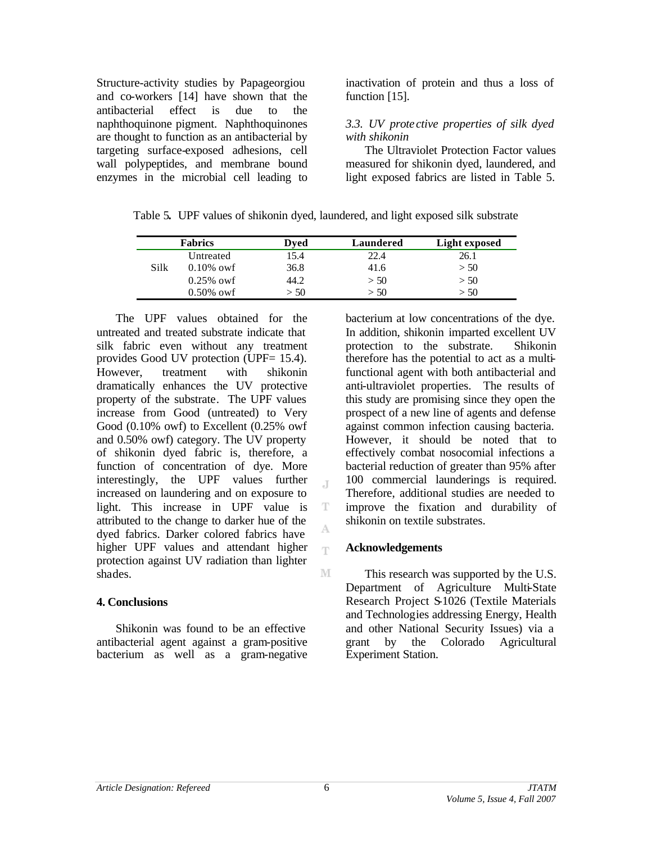Structure-activity studies by Papageorgiou and co-workers [14] have shown that the antibacterial effect is due to the naphthoquinone pigment. Naphthoquinones are thought to function as an antibacterial by targeting surface-exposed adhesions, cell wall polypeptides, and membrane bound enzymes in the microbial cell leading to inactivation of protein and thus a loss of function [15].

### *3.3. UV prote ctive properties of silk dyed with shikonin*

The Ultraviolet Protection Factor values measured for shikonin dyed, laundered, and light exposed fabrics are listed in Table 5.

| Table 5. UPF values of shikonin dyed, laundered, and light exposed silk substrate |  |  |  |  |  |  |
|-----------------------------------------------------------------------------------|--|--|--|--|--|--|
|-----------------------------------------------------------------------------------|--|--|--|--|--|--|

|      | <b>Fabrics</b> | Dved | Laundered | <b>Light exposed</b> |
|------|----------------|------|-----------|----------------------|
|      | Untreated      | 15.4 | 22.4      | 26.1                 |
| Silk | $0.10\%$ owf   | 36.8 | 41.6      | > 50                 |
|      | $0.25\%$ owf   | 44.2 | > 50      | > 50                 |
|      | $0.50\%$ owf   | > 50 | > 50      | > 50                 |

J.

T

A T

M

The UPF values obtained for the untreated and treated substrate indicate that silk fabric even without any treatment provides Good UV protection (UPF= 15.4). However, treatment with shikonin dramatically enhances the UV protective property of the substrate. The UPF values increase from Good (untreated) to Very Good (0.10% owf) to Excellent (0.25% owf and 0.50% owf) category. The UV property of shikonin dyed fabric is, therefore, a function of concentration of dye. More interestingly, the UPF values further increased on laundering and on exposure to light. This increase in UPF value is attributed to the change to darker hue of the dyed fabrics. Darker colored fabrics have higher UPF values and attendant higher protection against UV radiation than lighter shades.

# **4. Conclusions**

Shikonin was found to be an effective antibacterial agent against a gram-positive bacterium as well as a gram-negative

bacterium at low concentrations of the dye. In addition, shikonin imparted excellent UV protection to the substrate. Shikonin therefore has the potential to act as a multifunctional agent with both antibacterial and anti-ultraviolet properties. The results of this study are promising since they open the prospect of a new line of agents and defense against common infection causing bacteria. However, it should be noted that to effectively combat nosocomial infections a bacterial reduction of greater than 95% after 100 commercial launderings is required. Therefore, additional studies are needed to improve the fixation and durability of shikonin on textile substrates.

# **Acknowledgements**

This research was supported by the U.S. Department of Agriculture Multi-State Research Project S-1026 (Textile Materials and Technologies addressing Energy, Health and other National Security Issues) via a grant by the Colorado Agricultural Experiment Station.